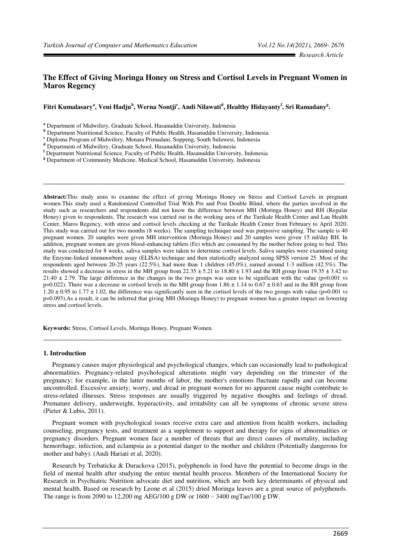# **The Effect of Giving Moringa Honey on Stress and Cortisol Levels in Pregnant Women in Maros Regency**

## **Fitri Kumalasary<sup>a</sup> , Veni Hadju<sup>b</sup> , Werna Nontji<sup>c</sup> , Andi Nilawati<sup>d</sup> , Healthy Hidayanty<sup>f</sup> , Sri Ramadany<sup>g</sup> .**

**a** Department of Midwifery, Graduate School, Hasanuddin University, Indonesia

**c** Diploma Program of Midwifery, Menara Primadani, Soppeng, South Sulawesi, Indonesia

**Abstract:**This study aims to examine the effect of giving Moringa Honey on Stress and Cortisol Levels in pregnant women.This study used a Randomized Controlled Trial With Pre and Post Double Blind, where the parties involved in the study such as researchers and respondents did not know the difference between MH (Moringa Honey) and RH (Regular Honey) given to respondents. The research was carried out in the working area of the Turikale Health Center and Lau Health Center, Maros Regency, with stress and cortisol levels checking at the Turikale Health Center from February to April 2020. This study was carried out for two months (8 weeks). The sampling technique used was purposive sampling. The sample is 40 pregnant women. 20 samples were given MH intervention (Moringa Honey) and 20 samples were given 15 ml/day RH. In addition, pregnant women are given blood-enhancing tablets (Fe) which are consumed by the mother before going to bed. This study was conducted for 8 weeks, saliva samples were taken to determine cortisol levels. Saliva samples were examined using the Enzyme-linked immunorbent assay (ELISA) technique and then statistically analyzed using SPSS version 25. Most of the respondents aged between 20-25 years (22.5%), had more than 1 children (45.0%), earned around 1-3 million (42.5%). The results showed a decrease in stress in the MH group from  $22.35 \pm 5.21$  to  $18.80 \pm 1.93$  and the RH group from  $19.35 \pm 3.42$  to 21.40  $\pm$  2.79. The large difference in the changes in the two groups was seen to be significant with the value (p=0.001 vs p=0.022). There was a decrease in cortisol levels in the MH group from 1.86  $\pm$  1.14 to 0.67  $\pm$  0.63 and in the RH group from 1.20  $\pm$  0.95 to 1.77  $\pm$  1.02, the difference was significantly seen in the cortisol levels of the two groups with value (p=0.001 vs p=0.093).As a result, it can be inferred that giving MH (Moringa Honey) to pregnant women has a greater impact on lowering stress and cortisol levels.

**\_\_\_\_\_\_\_\_\_\_\_\_\_\_\_\_\_\_\_\_\_\_\_\_\_\_\_\_\_\_\_\_\_\_\_\_\_\_\_\_\_\_\_\_\_\_\_\_\_\_\_\_\_\_\_\_\_\_\_\_\_\_\_\_\_\_\_\_\_\_\_\_\_\_\_\_\_\_\_\_\_\_\_\_\_\_\_\_\_\_\_\_\_\_\_\_\_\_\_\_\_**

**Keywords:** Stress, Cortisol Levels, Moringa Honey, Pregnant Women.

## **1. Introduction**

Pregnancy causes major physiological and psychological changes, which can occasionally lead to pathological abnormalities. Pregnancy-related psychological alterations might vary depending on the trimester of the pregnancy; for example, in the latter months of labor, the mother's emotions fluctuate rapidly and can become uncontrolled. Excessive anxiety, worry, and dread in pregnant women for no apparent cause might contribute to stress-related illnesses. Stress responses are usually triggered by negative thoughts and feelings of dread. Premature delivery, underweight, hyperactivity, and irritability can all be symptoms of chronic severe stress (Pieter & Lubis, 2011).

\_\_\_\_\_\_\_\_\_\_\_\_\_\_\_\_\_\_\_\_\_\_\_\_\_\_\_\_\_\_\_\_\_\_\_\_\_\_\_\_\_\_\_\_\_\_\_\_\_\_\_\_\_\_\_\_\_\_\_\_\_\_\_\_\_\_\_\_\_\_\_\_\_\_\_

Pregnant women with psychological issues receive extra care and attention from health workers, including counseling, pregnancy tests, and treatment as a supplement to support and therapy for signs of abnormalities or pregnancy disorders. Pregnant women face a number of threats that are direct causes of mortality, including hemorrhage, infection, and eclampsia as a potential danger to the mother and children (Potentially dangerous for mother and baby). (Andi Hariati et al, 2020).

Research by Trebaticka & Durackova (2015), polyphenols in food have the potential to become drugs in the field of mental health after studying the entire mental health process. Members of the International Society for Research in Psychiatric Nutrition advocate diet and nutrition, which are both key determinants of physical and mental health. Based on research by Leone et al (2015) dried Moringa leaves are a great source of polyphenols. The range is from 2090 to 12,200 mg AEG/100 g DW or 1600 – 3400 mgTae/100 g DW.

**b** Department Nutritional Science, Faculty of Public Health, Hasanuddin University, Indonesia

**d** Department of Midwifery, Graduate School, Hasanuddin University, Indonesia

**f** Department Nutritional Science, Faculty of Public Health, Hasanuddin University, Indonesia

**g** Department of Community Medicine, Medical School, Hasanuddin University, Indonesia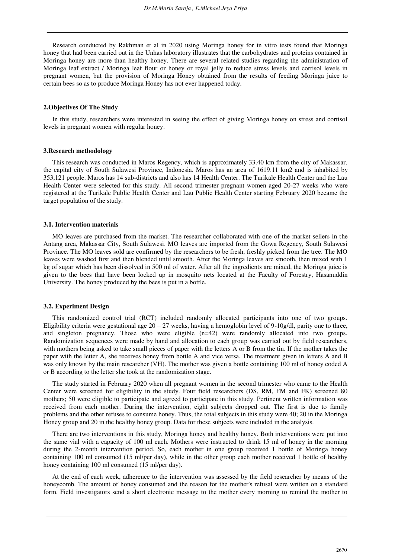Research conducted by Rakhman et al in 2020 using Moringa honey for in vitro tests found that Moringa honey that had been carried out in the Unhas laboratory illustrates that the carbohydrates and proteins contained in Moringa honey are more than healthy honey. There are several related studies regarding the administration of Moringa leaf extract / Moringa leaf flour or honey or royal jelly to reduce stress levels and cortisol levels in pregnant women, but the provision of Moringa Honey obtained from the results of feeding Moringa juice to certain bees so as to produce Moringa Honey has not ever happened today.

#### **2.Objectives Of The Study**

In this study, researchers were interested in seeing the effect of giving Moringa honey on stress and cortisol levels in pregnant women with regular honey.

#### **3.Research methodology**

This research was conducted in Maros Regency, which is approximately 33.40 km from the city of Makassar, the capital city of South Sulawesi Province, Indonesia. Maros has an area of 1619.11 km2 and is inhabited by 353,121 people. Maros has 14 sub-districts and also has 14 Health Center. The Turikale Health Center and the Lau Health Center were selected for this study. All second trimester pregnant women aged 20-27 weeks who were registered at the Turikale Public Health Center and Lau Public Health Center starting February 2020 became the target population of the study.

## **3.1. Intervention materials**

MO leaves are purchased from the market. The researcher collaborated with one of the market sellers in the Antang area, Makassar City, South Sulawesi. MO leaves are imported from the Gowa Regency, South Sulawesi Province. The MO leaves sold are confirmed by the researchers to be fresh, freshly picked from the tree. The MO leaves were washed first and then blended until smooth. After the Moringa leaves are smooth, then mixed with 1 kg of sugar which has been dissolved in 500 ml of water. After all the ingredients are mixed, the Moringa juice is given to the bees that have been locked up in mosquito nets located at the Faculty of Forestry, Hasanuddin University. The honey produced by the bees is put in a bottle.

#### **3.2. Experiment Design**

This randomized control trial (RCT) included randomly allocated participants into one of two groups. Eligibility criteria were gestational age  $20 - 27$  weeks, having a hemoglobin level of 9-10g/dl, parity one to three, and singleton pregnancy. Those who were eligible (n=42) were randomly allocated into two groups. Randomization sequences were made by hand and allocation to each group was carried out by field researchers, with mothers being asked to take small pieces of paper with the letters A or B from the tin. If the mother takes the paper with the letter A, she receives honey from bottle A and vice versa. The treatment given in letters A and B was only known by the main researcher (VH). The mother was given a bottle containing 100 ml of honey coded A or B according to the letter she took at the randomization stage.

The study started in February 2020 when all pregnant women in the second trimester who came to the Health Center were screened for eligibility in the study. Four field researchers (DS, RM, FM and FK) screened 80 mothers; 50 were eligible to participate and agreed to participate in this study. Pertinent written information was received from each mother. During the intervention, eight subjects dropped out. The first is due to family problems and the other refuses to consume honey. Thus, the total subjects in this study were 40; 20 in the Moringa Honey group and 20 in the healthy honey group. Data for these subjects were included in the analysis.

There are two interventions in this study, Moringa honey and healthy honey. Both interventions were put into the same vial with a capacity of 100 ml each. Mothers were instructed to drink 15 ml of honey in the morning during the 2-month intervention period. So, each mother in one group received 1 bottle of Moringa honey containing 100 ml consumed (15 ml/per day), while in the other group each mother received 1 bottle of healthy honey containing 100 ml consumed (15 ml/per day).

At the end of each week, adherence to the intervention was assessed by the field researcher by means of the honeycomb. The amount of honey consumed and the reason for the mother's refusal were written on a standard form. Field investigators send a short electronic message to the mother every morning to remind the mother to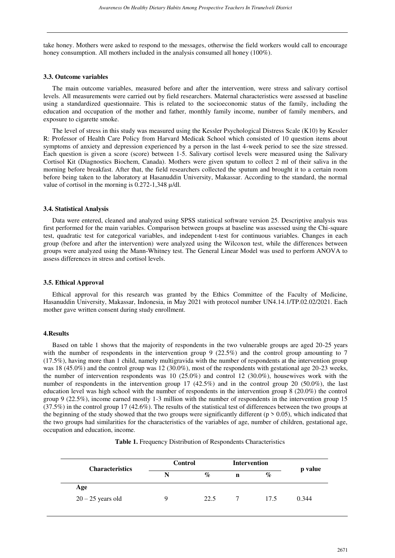take honey. Mothers were asked to respond to the messages, otherwise the field workers would call to encourage honey consumption. All mothers included in the analysis consumed all honey (100%).

## **3.3. Outcome variables**

The main outcome variables, measured before and after the intervention, were stress and salivary cortisol levels. All measurements were carried out by field researchers. Maternal characteristics were assessed at baseline using a standardized questionnaire. This is related to the socioeconomic status of the family, including the education and occupation of the mother and father, monthly family income, number of family members, and exposure to cigarette smoke.

The level of stress in this study was measured using the Kessler Psychological Distress Scale (K10) by Kessler R: Professor of Health Care Policy from Harvard Medicak School which consisted of 10 question items about symptoms of anxiety and depression experienced by a person in the last 4-week period to see the size stressed. Each question is given a score (score) between 1-5. Salivary cortisol levels were measured using the Salivary Cortisol Kit (Diagnostics Biochem, Canada). Mothers were given sputum to collect 2 ml of their saliva in the morning before breakfast. After that, the field researchers collected the sputum and brought it to a certain room before being taken to the laboratory at Hasanuddin University, Makassar. According to the standard, the normal value of cortisol in the morning is 0.272-1,348 µ/dl.

## **3.4. Statistical Analysis**

Data were entered, cleaned and analyzed using SPSS statistical software version 25. Descriptive analysis was first performed for the main variables. Comparison between groups at baseline was assessed using the Chi-square test, quadratic test for categorical variables, and independent t-test for continuous variables. Changes in each group (before and after the intervention) were analyzed using the Wilcoxon test, while the differences between groups were analyzed using the Mann-Whitney test. The General Linear Model was used to perform ANOVA to assess differences in stress and cortisol levels.

## **3.5. Ethical Approval**

Ethical approval for this research was granted by the Ethics Committee of the Faculty of Medicine, Hasanuddin University, Makassar, Indonesia, in May 2021 with protocol number UN4.14.1/TP.02.02/2021. Each mother gave written consent during study enrollment.

#### **4.Results**

Based on table 1 shows that the majority of respondents in the two vulnerable groups are aged 20-25 years with the number of respondents in the intervention group 9 (22.5%) and the control group amounting to 7 (17.5%), having more than 1 child, namely multigravida with the number of respondents at the intervention group was 18 (45.0%) and the control group was 12 (30.0%), most of the respondents with gestational age 20-23 weeks, the number of intervention respondents was 10 (25.0%) and control 12 (30.0%), housewives work with the number of respondents in the intervention group 17 (42.5%) and in the control group 20 (50.0%), the last education level was high school with the number of respondents in the intervention group 8 (20.0%) the control group 9 (22.5%), income earned mostly 1-3 million with the number of respondents in the intervention group 15 (37.5%) in the control group 17 (42.6%). The results of the statistical test of differences between the two groups at the beginning of the study showed that the two groups were significantly different ( $p > 0.05$ ), which indicated that the two groups had similarities for the characteristics of the variables of age, number of children, gestational age, occupation and education, income.

|  |  |  | Table 1. Frequency Distribution of Respondents Characteristics |  |
|--|--|--|----------------------------------------------------------------|--|
|--|--|--|----------------------------------------------------------------|--|

| <b>Characteristics</b> | <b>Control</b> |      | <b>Intervention</b> |      | p value |
|------------------------|----------------|------|---------------------|------|---------|
|                        | N              | $\%$ | n                   | $\%$ |         |
| Age                    |                |      |                     |      |         |
| $20 - 25$ years old    | Q              | 22.5 |                     | 17.5 | 0.344   |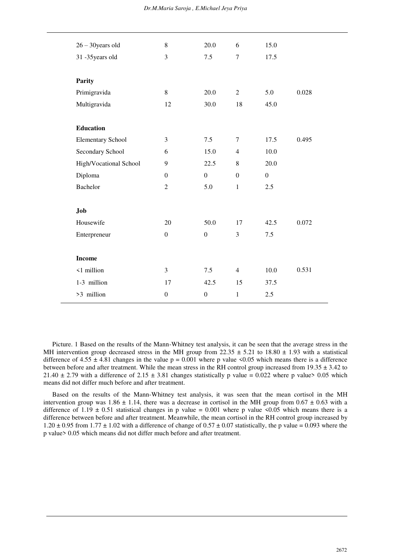## *Dr.M.Maria Saroja , E.Michael Jeya Priya*

| $26 - 30$ years old      | 8                | 20.0             | 6                | 15.0             |       |  |
|--------------------------|------------------|------------------|------------------|------------------|-------|--|
| 31-35 years old          | 3                | 7.5              | $\tau$           | 17.5             |       |  |
|                          |                  |                  |                  |                  |       |  |
| <b>Parity</b>            |                  |                  |                  |                  |       |  |
| Primigravida             | 8                | 20.0             | $\overline{2}$   | 5.0              | 0.028 |  |
| Multigravida             | 12               | 30.0             | 18               | 45.0             |       |  |
|                          |                  |                  |                  |                  |       |  |
| <b>Education</b>         |                  |                  |                  |                  |       |  |
| <b>Elementary School</b> | 3                | 7.5              | $\tau$           | 17.5             | 0.495 |  |
| Secondary School         | 6                | 15.0             | $\overline{4}$   | 10.0             |       |  |
| High/Vocational School   | 9                | 22.5             | 8                | 20.0             |       |  |
| Diploma                  | $\mathbf{0}$     | $\boldsymbol{0}$ | $\boldsymbol{0}$ | $\boldsymbol{0}$ |       |  |
| <b>Bachelor</b>          | $\overline{2}$   | 5.0              | $\mathbf{1}$     | 2.5              |       |  |
|                          |                  |                  |                  |                  |       |  |
| Job                      |                  |                  |                  |                  |       |  |
| Housewife                | 20               | 50.0             | 17               | 42.5             | 0.072 |  |
| Enterpreneur             | $\boldsymbol{0}$ | $\boldsymbol{0}$ | 3                | 7.5              |       |  |
|                          |                  |                  |                  |                  |       |  |
| <b>Income</b>            |                  |                  |                  |                  |       |  |
| <1 million               | $\mathfrak{Z}$   | 7.5              | $\overline{4}$   | 10.0             | 0.531 |  |
| 1-3 million              | 17               | 42.5             | 15               | 37.5             |       |  |
| >3 million               | $\boldsymbol{0}$ | $\boldsymbol{0}$ | $\mathbf{1}$     | 2.5              |       |  |

Picture. 1 Based on the results of the Mann-Whitney test analysis, it can be seen that the average stress in the MH intervention group decreased stress in the MH group from  $22.35 \pm 5.21$  to  $18.80 \pm 1.93$  with a statistical difference of  $4.55 \pm 4.81$  changes in the value  $p = 0.001$  where p value <0.05 which means there is a difference between before and after treatment. While the mean stress in the RH control group increased from  $19.35 \pm 3.42$  to 21.40  $\pm$  2.79 with a difference of 2.15  $\pm$  3.81 changes statistically p value = 0.022 where p value > 0.05 which means did not differ much before and after treatment.

Based on the results of the Mann-Whitney test analysis, it was seen that the mean cortisol in the MH intervention group was  $1.86 \pm 1.14$ , there was a decrease in cortisol in the MH group from  $0.67 \pm 0.63$  with a difference of  $1.19 \pm 0.51$  statistical changes in p value = 0.001 where p value <0.05 which means there is a difference between before and after treatment. Meanwhile, the mean cortisol in the RH control group increased by  $1.20 \pm 0.95$  from  $1.77 \pm 1.02$  with a difference of change of  $0.57 \pm 0.07$  statistically, the p value = 0.093 where the p value> 0.05 which means did not differ much before and after treatment.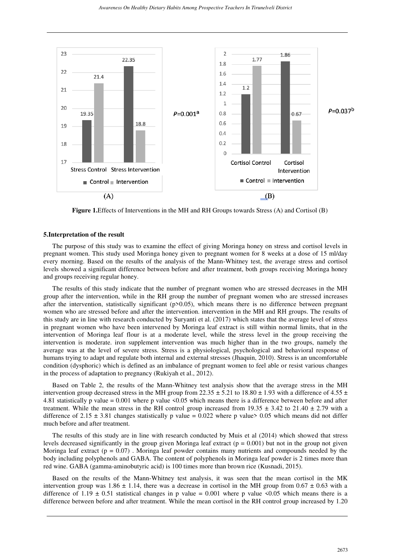

**Figure 1.**Effects of Interventions in the MH and RH Groups towards Stress (A) and Cortisol (B)

### **5.Interpretation of the result**

The purpose of this study was to examine the effect of giving Moringa honey on stress and cortisol levels in pregnant women. This study used Moringa honey given to pregnant women for 8 weeks at a dose of 15 ml/day every morning. Based on the results of the analysis of the Mann-Whitney test, the average stress and cortisol levels showed a significant difference between before and after treatment, both groups receiving Moringa honey and groups receiving regular honey.

The results of this study indicate that the number of pregnant women who are stressed decreases in the MH group after the intervention, while in the RH group the number of pregnant women who are stressed increases after the intervention, statistically significant (p>0.05), which means there is no difference between pregnant women who are stressed before and after the intervention. intervention in the MH and RH groups. The results of this study are in line with research conducted by Suryanti et al. (2017) which states that the average level of stress in pregnant women who have been intervened by Moringa leaf extract is still within normal limits, that in the intervention of Moringa leaf flour is at a moderate level, while the stress level in the group receiving the intervention is moderate. iron supplement intervention was much higher than in the two groups, namely the average was at the level of severe stress. Stress is a physiological, psychological and behavioral response of humans trying to adapt and regulate both internal and external stresses (Jhaquin, 2010). Stress is an uncomfortable condition (dysphoric) which is defined as an imbalance of pregnant women to feel able or resist various changes in the process of adaptation to pregnancy (Rukiyah et al., 2012).

Based on Table 2, the results of the Mann-Whitney test analysis show that the average stress in the MH intervention group decreased stress in the MH group from  $22.35 \pm 5.21$  to  $18.80 \pm 1.93$  with a difference of  $4.55 \pm 1.93$ 4.81 statistically p value = 0.001 where p value <0.05 which means there is a difference between before and after treatment. While the mean stress in the RH control group increased from  $19.35 \pm 3.42$  to  $21.40 \pm 2.79$  with a difference of  $2.15 \pm 3.81$  changes statistically p value = 0.022 where p value > 0.05 which means did not differ much before and after treatment.

The results of this study are in line with research conducted by Muis et al (2014) which showed that stress levels decreased significantly in the group given Moringa leaf extract  $(p = 0.001)$  but not in the group not given Moringa leaf extract  $(p = 0.07)$ . Moringa leaf powder contains many nutrients and compounds needed by the body including polyphenols and GABA. The content of polyphenols in Moringa leaf powder is 2 times more than red wine. GABA (gamma-aminobutyric acid) is 100 times more than brown rice (Kusnadi, 2015).

Based on the results of the Mann-Whitney test analysis, it was seen that the mean cortisol in the MK intervention group was  $1.86 \pm 1.14$ , there was a decrease in cortisol in the MH group from  $0.67 \pm 0.63$  with a difference of  $1.19 \pm 0.51$  statistical changes in p value = 0.001 where p value <0.05 which means there is a difference between before and after treatment. While the mean cortisol in the RH control group increased by 1.20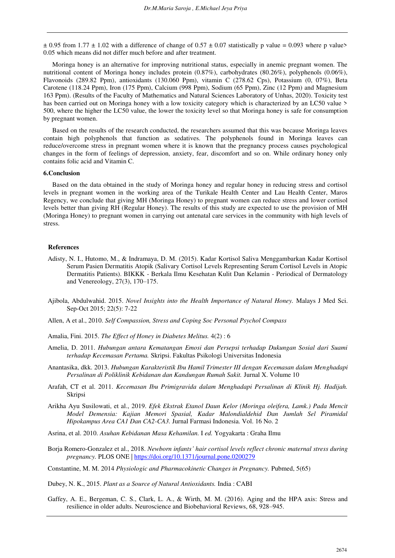$\pm$  0.95 from 1.77  $\pm$  1.02 with a difference of change of 0.57  $\pm$  0.07 statistically p value = 0.093 where p value> 0.05 which means did not differ much before and after treatment.

Moringa honey is an alternative for improving nutritional status, especially in anemic pregnant women. The nutritional content of Moringa honey includes protein (0.87%), carbohydrates (80.26%), polyphenols (0.06%), Flavonoids (289.82 Ppm), antioxidants (130.060 Ppm), vitamin C (278.62 Cps), Potassium (0, 07%), Beta Carotene (118.24 Ppm), Iron (175 Ppm), Calcium (998 Ppm), Sodium (65 Ppm), Zinc (12 Ppm) and Magnesium 163 Ppm). (Results of the Faculty of Mathematics and Natural Sciences Laboratory of Unhas, 2020). Toxicity test has been carried out on Moringa honey with a low toxicity category which is characterized by an LC50 value > 500, where the higher the LC50 value, the lower the toxicity level so that Moringa honey is safe for consumption by pregnant women.

Based on the results of the research conducted, the researchers assumed that this was because Moringa leaves contain high polyphenols that function as sedatives. The polyphenols found in Moringa leaves can reduce/overcome stress in pregnant women where it is known that the pregnancy process causes psychological changes in the form of feelings of depression, anxiety, fear, discomfort and so on. While ordinary honey only contains folic acid and Vitamin C.

## **6.Conclusion**

Based on the data obtained in the study of Moringa honey and regular honey in reducing stress and cortisol levels in pregnant women in the working area of the Turikale Health Center and Lau Health Center, Maros Regency, we conclude that giving MH (Moringa Honey) to pregnant women can reduce stress and lower cortisol levels better than giving RH (Regular Honey). The results of this study are expected to use the provision of MH (Moringa Honey) to pregnant women in carrying out antenatal care services in the community with high levels of stress.

#### **References**

- Adisty, N. I., Hutomo, M., & Indramaya, D. M. (2015). Kadar Kortisol Saliva Menggambarkan Kadar Kortisol Serum Pasien Dermatitis Atopik (Salivary Cortisol Levels Representing Serum Cortisol Levels in Atopic Dermatitis Patients). BIKKK - Berkala Ilmu Kesehatan Kulit Dan Kelamin - Periodical of Dermatology and Venereology, 27(3), 170–175.
- Ajibola, Abdulwahid. 2015. *Novel Insights into the Health Importance of Natural Honey.* Malays J Med Sci. Sep-Oct 2015; 22(5): 7-22
- Allen, A et al., 2010. *Self Compassion, Stress and Coping Soc Personal Psychol Compass*
- Amalia, Fini. 2015. *The Effect of Honey in Diabetes Melitus.* 4(2) : 6
- Amelia, D. 2011. *Hubungan antara Kematangan Emosi dan Persepsi terhadap Dukungan Sosial dari Suami terhadap Kecemasan Pertama.* Skripsi. Fakultas Psikologi Universitas Indonesia
- Anantasika, dkk. 2013. *Hubungan Karakteristik Ibu Hamil Trimester III dengan Kecemasan dalam Menghadapi Persalinan di Poliklinik Kebidanan dan Kandungan Rumah Sakit.* Jurnal X. Volume 10
- Arafah, CT et al. 2011. *Kecemasan Ibu Primigravida dalam Menghadapi Persalinan di Klinik Hj. Hadijah.*  Skripsi
- Arikha Ayu Susilowati, et al., 2019. *Efek Ekstrak Etanol Daun Kelor (Moringa oleifera, Lamk.) Pada Mencit Model Demensia: Kajian Memori Spasial, Kadar Malondialdehid Dan Jumlah Sel Piramidal Hipokampus Area CA1 Dan CA2-CA3.* Jurnal Farmasi Indonesia. Vol. 16 No. 2
- Asrina, et al. 2010. *Asuhan Kebidanan Masa Kehamilan.* I *ed.* Yogyakarta : Graha Ilmu
- Borja Romero-Gonzalez et al., 2018. *Newborn infants' hair cortisol levels reflect chronic maternal stress during pregnancy.* PLOS ONE [| https://doi.org/10.1371/journal.pone.0200279](https://doi.org/10.1371/journal.pone.0200279)

Constantine, M. M. 2014 *Physiologic and Pharmacokinetic Changes in Pregnancy.* Pubmed, 5(65)

Dubey, N. K., 2015. *Plant as a Source of Natural Antioxidants.* India : CABI

Gaffey, A. E., Bergeman, C. S., Clark, L. A., & Wirth, M. M. (2016). Aging and the HPA axis: Stress and resilience in older adults. Neuroscience and Biobehavioral Reviews, 68, 928–945.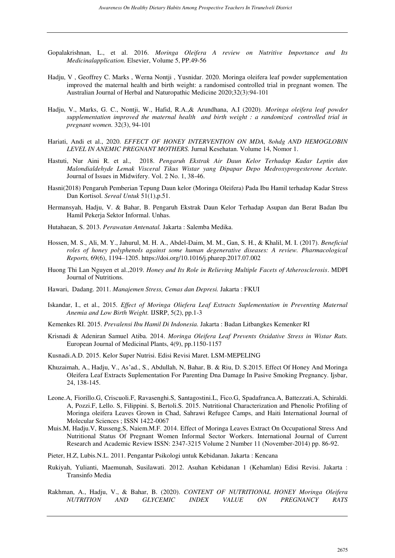- Gopalakrishnan, L., et al. 2016. *Moringa Oleifera A review on Nutritive Importance and Its Medicinalapplication.* Elsevier, Volume 5, PP.49-56
- Hadju, V , Geoffrey C. Marks , Werna Nontji , Yusnidar. 2020. Moringa oleifera leaf powder supplementation improved the maternal health and birth weight: a randomised controlled trial in pregnant women. The Australian Journal of Herbal and Naturopathic Medicine 2020;32(3):94-101
- Hadju, V., Marks, G. C., Nontji, W., Hafid, R.A.,& Arundhana, A.I (2020). *Moringa oleifera leaf powder supplementation improved the maternal health and birth weight : a randomized controlled trial in pregnant women.* 32(3), 94-101
- Hariati, Andi et al., 2020. *EFFECT OF HONEY INTERVENTION ON MDA, 8ohdg AND HEMOGLOBIN LEVEL IN ANEMIC PREGNANT MOTHERS.* Jurnal Kesehatan. Volume 14, Nomor 1.
- Hastuti, Nur Aini R. et al., 2018. *Pengaruh Ekstrak Air Daun Kelor Terhadap Kadar Leptin dan Malondialdehyde Lemak Visceral Tikus Wistar yang Dipapar Depo Medroxyprogesterone Acetate.*  Journal of Issues in Midwifery. Vol. 2 No. 1, 38-46.
- Hasni(2018) Pengaruh Pemberian Tepung Daun kelor (Moringa Oleifera) Pada Ibu Hamil terhadap Kadar Stress Dan Kortisol. *Sereal Untuk* 51(1),p.51.
- Hermansyah, Hadju, V. & Bahar, B. Pengaruh Ekstrak Daun Kelor Terhadap Asupan dan Berat Badan Ibu Hamil Pekerja Sektor Informal. Unhas.
- Hutahaean, S. 2013. *Perawatan Antenatal.* Jakarta : Salemba Medika.
- Hossen, M. S., Ali, M. Y., Jahurul, M. H. A., Abdel-Daim, M. M., Gan, S. H., & Khalil, M. I. (2017). *Beneficial roles of honey polyphenols against some human degenerative diseases: A review. Pharmacological Reports,* 69(6), 1194–1205. https://doi.org/10.1016/j.pharep.2017.07.002
- Huong Thi Lan Nguyen et al.,2019. *Honey and Its Role in Relieving Multiple Facets of Atherosclerosis*. MDPI Journal of Nutritions.
- Hawari, Dadang. 2011. *Manajemen Stress, Cemas dan Depresi.* Jakarta : FKUI
- Iskandar, I., et al., 2015. *Effect of Moringa Oliefera Leaf Extracts Suplementation in Preventing Maternal Anemia and Low Birth Weight.* IJSRP, 5(2), pp.1-3
- Kemenkes RI. 2015. *Prevalensi Ibu Hamil Di Indonesia.* Jakarta : Badan Litbangkes Kemenker RI
- Krisnadi & Adeniran Samuel Atiba. 2014. *Moringa Oleifera Leaf Prevents Oxidative Stress in Wistar Rats.*  European Journal of Medicinal Plants, 4(9), pp.1150-1157
- Kusnadi.A.D. 2015. Kelor Super Nutrisi. Edisi Revisi Maret. LSM-MEPELING
- Khuzaimah, A., Hadju, V., As'ad., S., Abdullah, N, Bahar, B. & Riu, D. S.2015. Effect Of Honey And Moringa Oleifera Leaf Extracts Suplementation For Parenting Dna Damage In Pasive Smoking Pregnancy. Ijsbar, 24, 138-145.
- Leone.A, Fiorillo.G, Criscuoli.F, Ravasenghi.S, Santagostini.L, Fico.G, Spadafranca.A, Battezzati.A, Schiraldi. A, Pozzi.F, Lello. S, Filippini. S, Bertoli.S. 2015. Nutritional Characterization and Phenolic Profiling of Moringa oleifera Leaves Grown in Chad, Sahrawi Refugee Camps, and Haiti International Journal of Molecular Sciences ; ISSN 1422-0067
- Muis.M, Hadju.V, Russeng.S, Naiem.M.F. 2014. Effect of Moringa Leaves Extract On Occupational Stress And Nutritional Status Of Pregnant Women Informal Sector Workers. International Journal of Current Research and Academic Review ISSN: 2347-3215 Volume 2 Number 11 (November-2014) pp. 86-92.
- Pieter, H.Z, Lubis.N.L. 2011. Pengantar Psikologi untuk Kebidanan. Jakarta : Kencana
- Rukiyah, Yulianti, Maemunah, Susilawati. 2012. Asuhan Kebidanan 1 (Kehamlan) Edisi Revisi. Jakarta : Transinfo Media
- Rakhman, A., Hadju, V., & Bahar, B. (2020). *CONTENT OF NUTRITIONAL HONEY Moringa Oleifera NUTRITION AND GLYCEMIC INDEX VALUE ON PREGNANCY RATS*